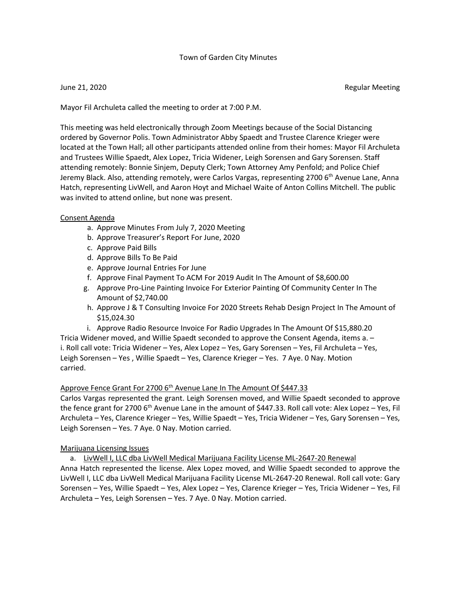## Town of Garden City Minutes

June 21, 2020 Regular Meeting

Mayor Fil Archuleta called the meeting to order at 7:00 P.M.

This meeting was held electronically through Zoom Meetings because of the Social Distancing ordered by Governor Polis. Town Administrator Abby Spaedt and Trustee Clarence Krieger were located at the Town Hall; all other participants attended online from their homes: Mayor Fil Archuleta and Trustees Willie Spaedt, Alex Lopez, Tricia Widener, Leigh Sorensen and Gary Sorensen. Staff attending remotely: Bonnie Sinjem, Deputy Clerk; Town Attorney Amy Penfold; and Police Chief Jeremy Black. Also, attending remotely, were Carlos Vargas, representing 2700 6<sup>th</sup> Avenue Lane, Anna Hatch, representing LivWell, and Aaron Hoyt and Michael Waite of Anton Collins Mitchell. The public was invited to attend online, but none was present.

## Consent Agenda

- a. Approve Minutes From July 7, 2020 Meeting
- b. Approve Treasurer's Report For June, 2020
- c. Approve Paid Bills
- d. Approve Bills To Be Paid
- e. Approve Journal Entries For June
- f. Approve Final Payment To ACM For 2019 Audit In The Amount of \$8,600.00
- g. Approve Pro-Line Painting Invoice For Exterior Painting Of Community Center In The Amount of \$2,740.00
- h. Approve J & T Consulting Invoice For 2020 Streets Rehab Design Project In The Amount of \$15,024.30

i. Approve Radio Resource Invoice For Radio Upgrades In The Amount Of \$15,880.20 Tricia Widener moved, and Willie Spaedt seconded to approve the Consent Agenda, items a. – i. Roll call vote: Tricia Widener – Yes, Alex Lopez – Yes, Gary Sorensen – Yes, Fil Archuleta – Yes, Leigh Sorensen – Yes , Willie Spaedt – Yes, Clarence Krieger – Yes. 7 Aye. 0 Nay. Motion carried.

## Approve Fence Grant For 2700 6<sup>th</sup> Avenue Lane In The Amount Of \$447.33

Carlos Vargas represented the grant. Leigh Sorensen moved, and Willie Spaedt seconded to approve the fence grant for 2700 6<sup>th</sup> Avenue Lane in the amount of \$447.33. Roll call vote: Alex Lopez – Yes, Fil Archuleta – Yes, Clarence Krieger – Yes, Willie Spaedt – Yes, Tricia Widener – Yes, Gary Sorensen – Yes, Leigh Sorensen – Yes. 7 Aye. 0 Nay. Motion carried.

## Marijuana Licensing Issues

a. LivWell I, LLC dba LivWell Medical Marijuana Facility License ML-2647-20 Renewal

Anna Hatch represented the license. Alex Lopez moved, and Willie Spaedt seconded to approve the LivWell I, LLC dba LivWell Medical Marijuana Facility License ML-2647-20 Renewal. Roll call vote: Gary Sorensen – Yes, Willie Spaedt – Yes, Alex Lopez – Yes, Clarence Krieger – Yes, Tricia Widener – Yes, Fil Archuleta – Yes, Leigh Sorensen – Yes. 7 Aye. 0 Nay. Motion carried.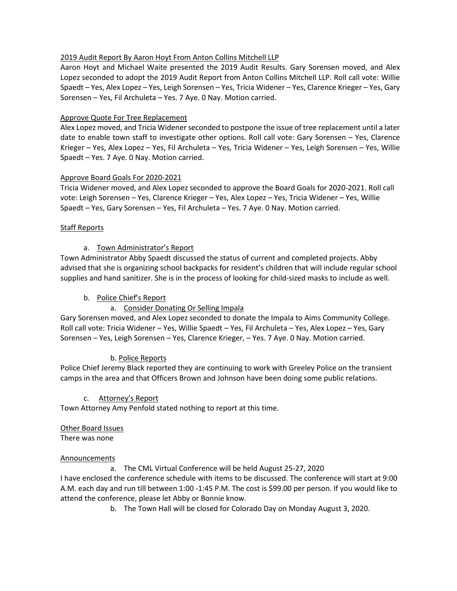# 2019 Audit Report By Aaron Hoyt From Anton Collins Mitchell LLP

Aaron Hoyt and Michael Waite presented the 2019 Audit Results. Gary Sorensen moved, and Alex Lopez seconded to adopt the 2019 Audit Report from Anton Collins Mitchell LLP. Roll call vote: Willie Spaedt – Yes, Alex Lopez – Yes, Leigh Sorensen – Yes, Tricia Widener – Yes, Clarence Krieger – Yes, Gary Sorensen – Yes, Fil Archuleta – Yes. 7 Aye. 0 Nay. Motion carried.

## Approve Quote For Tree Replacement

Alex Lopez moved, and Tricia Widener seconded to postpone the issue of tree replacement until a later date to enable town staff to investigate other options. Roll call vote: Gary Sorensen – Yes, Clarence Krieger – Yes, Alex Lopez – Yes, Fil Archuleta – Yes, Tricia Widener – Yes, Leigh Sorensen – Yes, Willie Spaedt – Yes. 7 Aye. 0 Nay. Motion carried.

#### Approve Board Goals For 2020-2021

Tricia Widener moved, and Alex Lopez seconded to approve the Board Goals for 2020-2021. Roll call vote: Leigh Sorensen – Yes, Clarence Krieger – Yes, Alex Lopez – Yes, Tricia Widener – Yes, Willie Spaedt – Yes, Gary Sorensen – Yes, Fil Archuleta – Yes. 7 Aye. 0 Nay. Motion carried.

## Staff Reports

## a. Town Administrator's Report

Town Administrator Abby Spaedt discussed the status of current and completed projects. Abby advised that she is organizing school backpacks for resident's children that will include regular school supplies and hand sanitizer. She is in the process of looking for child-sized masks to include as well.

## b. Police Chief's Report

## a. Consider Donating Or Selling Impala

Gary Sorensen moved, and Alex Lopez seconded to donate the Impala to Aims Community College. Roll call vote: Tricia Widener – Yes, Willie Spaedt – Yes, Fil Archuleta – Yes, Alex Lopez – Yes, Gary Sorensen – Yes, Leigh Sorensen – Yes, Clarence Krieger, – Yes. 7 Aye. 0 Nay. Motion carried.

## b. Police Reports

Police Chief Jeremy Black reported they are continuing to work with Greeley Police on the transient camps in the area and that Officers Brown and Johnson have been doing some public relations.

## c. Attorney's Report

Town Attorney Amy Penfold stated nothing to report at this time.

## Other Board Issues

There was none

## Announcements

a. The CML Virtual Conference will be held August 25-27, 2020

I have enclosed the conference schedule with items to be discussed. The conference will start at 9:00 A.M. each day and run till between 1:00 -1:45 P.M. The cost is \$99.00 per person. If you would like to attend the conference, please let Abby or Bonnie know.

b. The Town Hall will be closed for Colorado Day on Monday August 3, 2020.